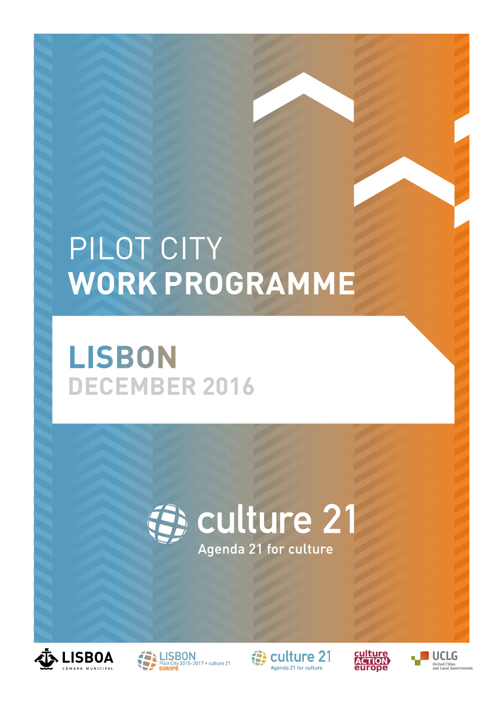### PILOT CITY **WORK PROGRAMME**

### **LISBON DECEMBER 2016**











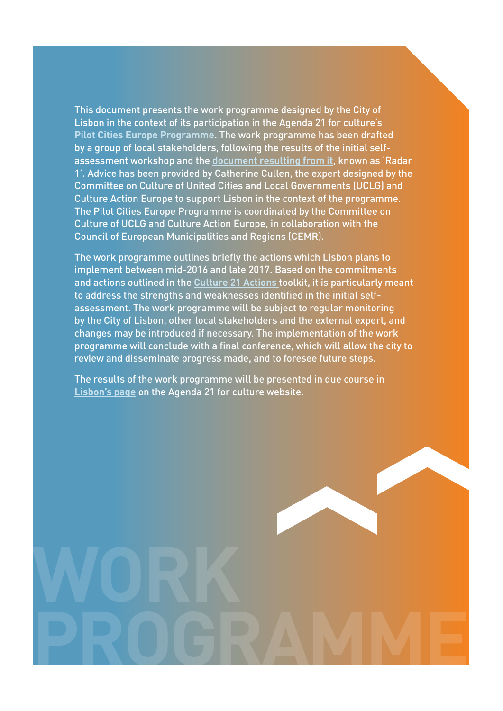This document presents the work programme designed by the City of Lisbon in the context of its participation in the Agenda 21 for culture's **[Pilot Cities Europe Programme](http://agenda21culture.net/index.php/newa21c/pilot-cities-eng)**. The work programme has been drafted by a group of local stakeholders, following the results of the initial selfassessment workshop and the **[document resulting from it](http://agenda21culture.net/images/a21c/cities/Lisboa/pilot2015-2017/Informe_Lisboa-ENG.pdf)**, known as 'Radar 1'. Advice has been provided by Catherine Cullen, the expert designed by the Committee on Culture of United Cities and Local Governments (UCLG) and Culture Action Europe to support Lisbon in the context of the programme. The Pilot Cities Europe Programme is coordinated by the Committee on Culture of UCLG and Culture Action Europe, in collaboration with the Council of European Municipalities and Regions (CEMR).

The work programme outlines briefly the actions which Lisbon plans to implement between mid-2016 and late 2017. Based on the commitments and actions outlined in the **[Culture 21 Actions](http://agenda21culture.net/images/a21c/nueva-A21C/C21A/C21_015_en.pdf)** toolkit, it is particularly meant to address the strengths and weaknesses identified in the initial selfassessment. The work programme will be subject to regular monitoring by the City of Lisbon, other local stakeholders and the external expert, and changes may be introduced if necessary. The implementation of the work programme will conclude with a final conference, which will allow the city to review and disseminate progress made, and to foresee future steps.

The results of the work programme will be presented in due course in **[Lisbon's page](http://agenda21culture.net/index.php/newa21c/pilot-cities-eng/lisbon-eng)** on the Agenda 21 for culture website.

**PROGRAMME**

**WORK**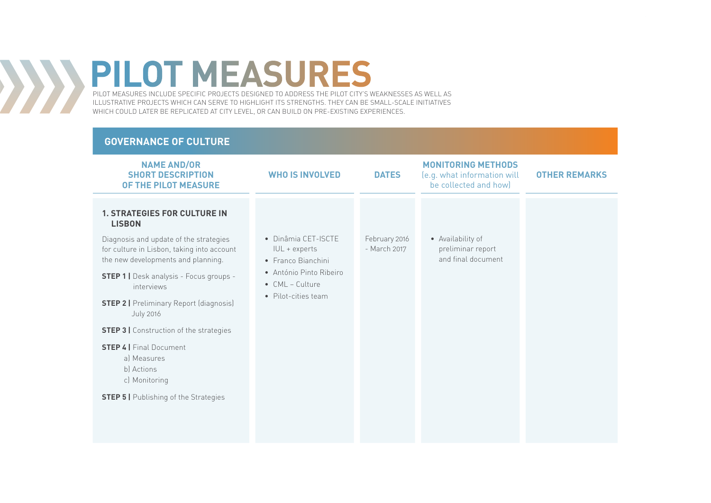PILOT MEASURES INCLUDE SPECIFIC PROJECTS DESIGNED TO ADDRESS THE PILOT CITY'S WEAKNESSES AS WELL AS ILLUSTRATIVE PROJECTS WHICH CAN SERVE TO HIGHLIGHT ITS STRENGTHS. THEY CAN BE SMALL-SCALE INITIATIVES WHICH COULD LATER BE REPLICATED AT CITY LEVEL, OR CAN BUILD ON PRE-EXISTING EXPERIENCES.

#### **GOVERNANCE OF CULTURE**

XXX

| <b>NAME AND/OR</b><br><b>SHORT DESCRIPTION</b><br>OF THE PILOT MEASURE                                                     | <b>WHO IS INVOLVED</b>                                     | <b>DATES</b>                  | <b>MONITORING METHODS</b><br>(e.g. what information will<br>be collected and how) | <b>OTHER REMARKS</b> |
|----------------------------------------------------------------------------------------------------------------------------|------------------------------------------------------------|-------------------------------|-----------------------------------------------------------------------------------|----------------------|
| <b>1. STRATEGIES FOR CULTURE IN</b><br><b>LISBON</b>                                                                       |                                                            |                               |                                                                                   |                      |
| Diagnosis and update of the strategies<br>for culture in Lisbon, taking into account<br>the new developments and planning. | • Dinâmia CET-ISCTE<br>IUL + experts<br>• Franco Bianchini | February 2016<br>- March 2017 | • Availability of<br>preliminar report<br>and final document                      |                      |
| <b>STEP 1   Desk analysis - Focus groups -</b><br>interviews                                                               | • António Pinto Ribeiro<br>$\bullet$ CML – Culture         |                               |                                                                                   |                      |
| <b>STEP 2   Preliminary Report (diagnosis)</b><br><b>July 2016</b>                                                         | • Pilot-cities team                                        |                               |                                                                                   |                      |
| <b>STEP 3</b>   Construction of the strategies                                                                             |                                                            |                               |                                                                                   |                      |
| <b>STEP 4   Final Document</b><br>al Measures<br>b) Actions<br>c) Monitoring                                               |                                                            |                               |                                                                                   |                      |
| <b>STEP 5   Publishing of the Strategies</b>                                                                               |                                                            |                               |                                                                                   |                      |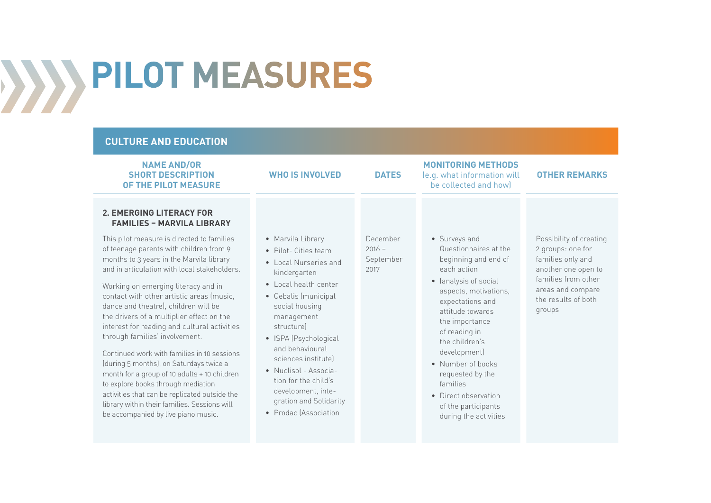#### **CULTURE AND EDUCATION**

| <b>NAME AND/OR</b><br><b>SHORT DESCRIPTION</b><br>OF THE PILOT MEASURE                                                                                                                                                                                                                                                                                                                                                                                                                                                                                                                                                                                                                                                                                                                                | <b>WHO IS INVOLVED</b>                                                                                                                                                                                                                                                                                                                                                         | <b>DATES</b>                              | <b>MONITORING METHODS</b><br>(e.g. what information will<br>be collected and how)                                                                                                                                                                                                                                                                | <b>OTHER REMARKS</b>                                                                                                                                                  |
|-------------------------------------------------------------------------------------------------------------------------------------------------------------------------------------------------------------------------------------------------------------------------------------------------------------------------------------------------------------------------------------------------------------------------------------------------------------------------------------------------------------------------------------------------------------------------------------------------------------------------------------------------------------------------------------------------------------------------------------------------------------------------------------------------------|--------------------------------------------------------------------------------------------------------------------------------------------------------------------------------------------------------------------------------------------------------------------------------------------------------------------------------------------------------------------------------|-------------------------------------------|--------------------------------------------------------------------------------------------------------------------------------------------------------------------------------------------------------------------------------------------------------------------------------------------------------------------------------------------------|-----------------------------------------------------------------------------------------------------------------------------------------------------------------------|
| <b>2. EMERGING LITERACY FOR</b><br><b>FAMILIES - MARVILA LIBRARY</b><br>This pilot measure is directed to families<br>of teenage parents with children from 9<br>months to 3 years in the Marvila library<br>and in articulation with local stakeholders.<br>Working on emerging literacy and in<br>contact with other artistic areas (music,<br>dance and theatre), children will be<br>the drivers of a multiplier effect on the<br>interest for reading and cultural activities<br>through families' involvement.<br>Continued work with families in 10 sessions<br>(during 5 months), on Saturdays twice a<br>month for a group of 10 adults + 10 children<br>to explore books through mediation<br>activities that can be replicated outside the<br>library within their families. Sessions will | • Marvila Library<br>• Pilot- Cities team<br>• Local Nurseries and<br>kindergarten<br>• Local health center<br>• Gebalis (municipal<br>social housing<br>management<br>structurel<br>• ISPA (Psychological<br>and behavioural<br>sciences institutel<br>• Nuclisol - Associa-<br>tion for the child's<br>development, inte-<br>gration and Solidarity<br>• Prodac (Association | December<br>$2016 -$<br>September<br>2017 | • Surveys and<br>Questionnaires at the<br>beginning and end of<br>each action<br>• (analysis of social<br>aspects, motivations,<br>expectations and<br>attitude towards<br>the importance<br>of reading in<br>the children's<br>development)<br>• Number of books<br>requested by the<br>families<br>• Direct observation<br>of the participants | Possibility of creating<br>2 groups: one for<br>families only and<br>another one open to<br>families from other<br>areas and compare<br>the results of both<br>groups |
| be accompanied by live piano music.                                                                                                                                                                                                                                                                                                                                                                                                                                                                                                                                                                                                                                                                                                                                                                   |                                                                                                                                                                                                                                                                                                                                                                                |                                           | during the activities                                                                                                                                                                                                                                                                                                                            |                                                                                                                                                                       |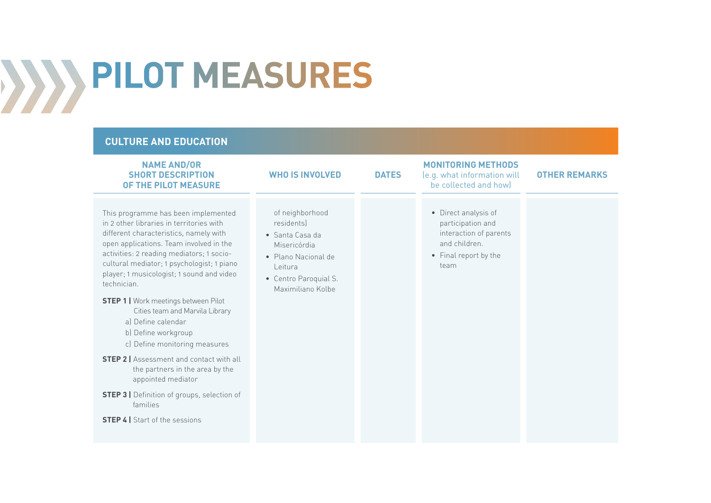#### **CULTURE AND EDUCATION**

| This programme has been implemented<br>of neighborhood<br>• Direct analysis of<br>in 2 other libraries in territories with<br>residents)<br>participation and<br>different characteristics, namely with<br>interaction of parents<br>• Santa Casa da<br>and children.<br>open applications. Team involved in the<br>Misericórdia<br>activities: 2 reading mediators; 1 socio-<br>• Final report by the<br>• Plano Nacional de<br>cultural mediator; 1 psychologist; 1 piano<br>team<br>Leitura<br>player; 1 musicologist; 1 sound and video<br>• Centro Paroquial S.<br>technician.<br>Maximiliano Kolbe<br><b>STEP 1   Work meetings between Pilot</b><br>Cities team and Marvila Library<br>a) Define calendar<br>b) Define workgroup<br>c) Define monitoring measures<br><b>STEP 2   Assessment and contact with all</b><br>the partners in the area by the<br>appointed mediator<br><b>STEP 3</b>   Definition of groups, selection of<br>families<br><b>STEP 4   Start of the sessions</b> | <b>NAME AND/OR</b><br><b>SHORT DESCRIPTION</b><br><b>OF THE PILOT MEASURE</b> | <b>WHO IS INVOLVED</b> | <b>DATES</b> | <b>MONITORING METHODS</b><br>(e.g. what information will<br>be collected and how) | <b>OTHER REMARKS</b> |
|-------------------------------------------------------------------------------------------------------------------------------------------------------------------------------------------------------------------------------------------------------------------------------------------------------------------------------------------------------------------------------------------------------------------------------------------------------------------------------------------------------------------------------------------------------------------------------------------------------------------------------------------------------------------------------------------------------------------------------------------------------------------------------------------------------------------------------------------------------------------------------------------------------------------------------------------------------------------------------------------------|-------------------------------------------------------------------------------|------------------------|--------------|-----------------------------------------------------------------------------------|----------------------|
|                                                                                                                                                                                                                                                                                                                                                                                                                                                                                                                                                                                                                                                                                                                                                                                                                                                                                                                                                                                                 |                                                                               |                        |              |                                                                                   |                      |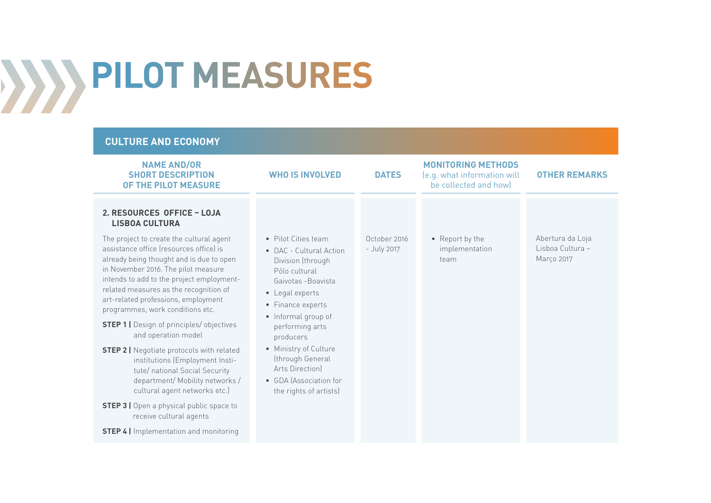#### **CULTURE AND ECONOMY**

| <b>NAME AND/OR</b><br><b>SHORT DESCRIPTION</b><br>OF THE PILOT MEASURE                                                                                                                                                                                                                                                                                                                                                                                                                                                                                                                                                                                                                                                                                                                                 | <b>WHO IS INVOLVED</b>                                                                                                                                                                                                                                                                                                         | <b>DATES</b>                | <b>MONITORING METHODS</b><br>(e.g. what information will<br>be collected and how) | <b>OTHER REMARKS</b>                               |
|--------------------------------------------------------------------------------------------------------------------------------------------------------------------------------------------------------------------------------------------------------------------------------------------------------------------------------------------------------------------------------------------------------------------------------------------------------------------------------------------------------------------------------------------------------------------------------------------------------------------------------------------------------------------------------------------------------------------------------------------------------------------------------------------------------|--------------------------------------------------------------------------------------------------------------------------------------------------------------------------------------------------------------------------------------------------------------------------------------------------------------------------------|-----------------------------|-----------------------------------------------------------------------------------|----------------------------------------------------|
| 2. RESOURCES OFFICE - LOJA<br><b>LISBOA CULTURA</b><br>The project to create the cultural agent<br>assistance office (resources office) is<br>already being thought and is due to open<br>in November 2016. The pilot measure<br>intends to add to the project employment-<br>related measures as the recognition of<br>art-related professions, employment<br>programmes, work conditions etc.<br><b>STEP 1   Design of principles/ objectives</b><br>and operation model<br><b>STEP 2</b>   Negotiate protocols with related<br>institutions (Employment Insti-<br>tute/ national Social Security<br>department/ Mobility networks /<br>cultural agent networks etc.)<br><b>STEP 3</b>   Open a physical public space to<br>receive cultural agents<br><b>STEP 4</b>   Implementation and monitoring | • Pilot Cities team<br>• DAC - Cultural Action<br>Division (through<br>Pólo cultural<br>Gaivotas - Boavista<br>• Legal experts<br>• Finance experts<br>• Informal group of<br>performing arts<br>producers<br>• Ministry of Culture<br>(through General<br>Arts Direction)<br>• GDA (Association for<br>the rights of artists) | October 2016<br>- July 2017 | • Report by the<br>implementation<br>team                                         | Abertura da Loja<br>Lisboa Cultura -<br>Março 2017 |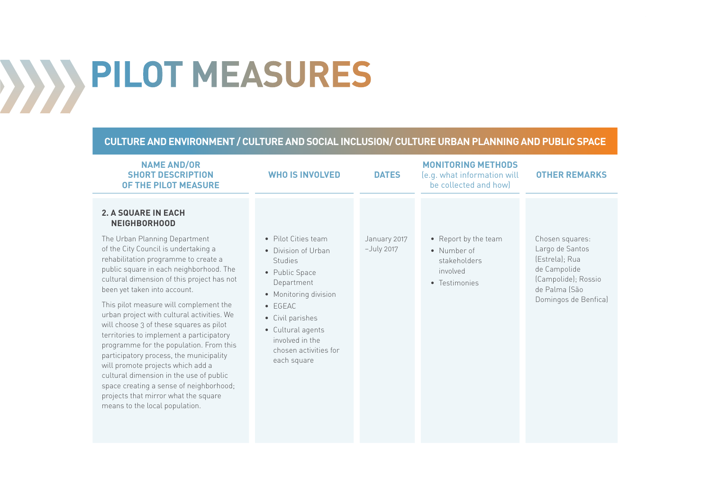#### **CULTURE AND ENVIRONMENT / CULTURE AND SOCIAL INCLUSION/ CULTURE URBAN PLANNING AND PUBLIC SPACE**

| <b>NAME AND/OR</b><br><b>SHORT DESCRIPTION</b><br>OF THE PILOT MEASURE                                                                                                                                                                                                                                                                                                              | <b>WHO IS INVOLVED</b>                                                                                                                                       | <b>DATES</b>                 | <b>MONITORING METHODS</b><br>(e.g. what information will<br>be collected and how) | <b>OTHER REMARKS</b>                                                                                                                 |
|-------------------------------------------------------------------------------------------------------------------------------------------------------------------------------------------------------------------------------------------------------------------------------------------------------------------------------------------------------------------------------------|--------------------------------------------------------------------------------------------------------------------------------------------------------------|------------------------------|-----------------------------------------------------------------------------------|--------------------------------------------------------------------------------------------------------------------------------------|
| <b>2. A SQUARE IN EACH</b><br><b>NEIGHBORHOOD</b><br>The Urban Planning Department<br>of the City Council is undertaking a<br>rehabilitation programme to create a<br>public square in each neighborhood. The<br>cultural dimension of this project has not<br>been yet taken into account.<br>This pilot measure will complement the<br>urban project with cultural activities. We | • Pilot Cities team<br>• Division of Urban<br><b>Studies</b><br>• Public Space<br>Department<br>• Monitoring division<br>$\bullet$ EGEAC<br>• Civil parishes | January 2017<br>$-July 2017$ | • Report by the team<br>• Number of<br>stakeholders<br>involved<br>• Testimonies  | Chosen squares:<br>Largo de Santos<br>(Estrela); Rua<br>de Campolide<br>(Campolide); Rossio<br>de Palma (São<br>Domingos de Benfica) |
| will choose 3 of these squares as pilot<br>territories to implement a participatory<br>programme for the population. From this<br>participatory process, the municipality<br>will promote projects which add a<br>cultural dimension in the use of public<br>space creating a sense of neighborhood;<br>projects that mirror what the square<br>means to the local population.      | • Cultural agents<br>involved in the<br>chosen activities for<br>each square                                                                                 |                              |                                                                                   |                                                                                                                                      |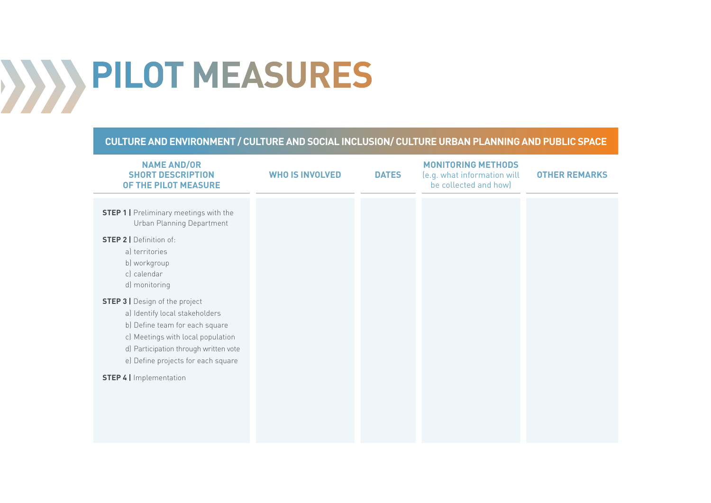### **CULTURE AND ENVIRONMENT / CULTURE AND SOCIAL INCLUSION/ CULTURE URBAN PLANNING AND PUBLIC SPACE**

| <b>NAME AND/OR</b><br><b>SHORT DESCRIPTION</b><br>OF THE PILOT MEASURE                                                                                                                                                        | <b>WHO IS INVOLVED</b> | <b>DATES</b> | <b>MONITORING METHODS</b><br>(e.g. what information will<br>be collected and how) | <b>OTHER REMARKS</b> |
|-------------------------------------------------------------------------------------------------------------------------------------------------------------------------------------------------------------------------------|------------------------|--------------|-----------------------------------------------------------------------------------|----------------------|
| <b>STEP 1</b>   Preliminary meetings with the<br>Urban Planning Department                                                                                                                                                    |                        |              |                                                                                   |                      |
| <b>STEP 2   Definition of:</b><br>a) territories<br>b) workgroup<br>c) calendar<br>d) monitoring                                                                                                                              |                        |              |                                                                                   |                      |
| <b>STEP 3   Design of the project</b><br>a) Identify local stakeholders<br>b) Define team for each square<br>c) Meetings with local population<br>d) Participation through written vote<br>e) Define projects for each square |                        |              |                                                                                   |                      |
| <b>STEP 4</b>   Implementation                                                                                                                                                                                                |                        |              |                                                                                   |                      |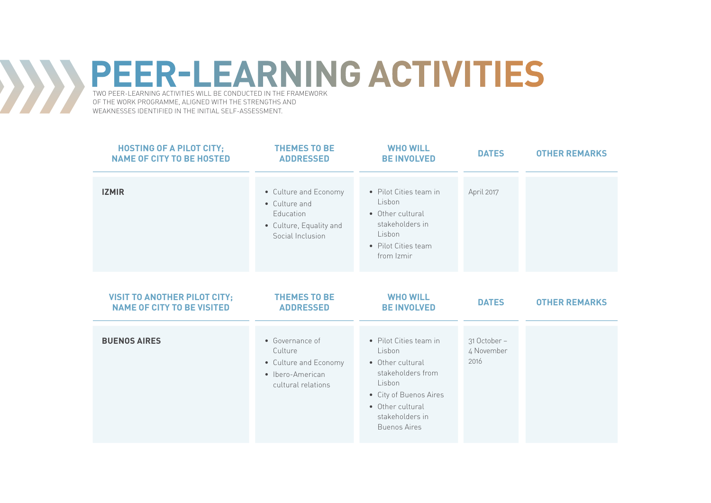### **PEER-LEARNING ACTIVITIES** TWO PEER-LEARNING ACTIVITIES WILL BE CONDUCTED IN THE FRAMEWORK

OF THE WORK PROGRAMME, ALIGNED WITH THE STRENGTHS AND WEAKNESSES IDENTIFIED IN THE INITIAL SELF-ASSESSMENT.

 $\sum$ 

| <b>HOSTING OF A PILOT CITY;</b><br><b>NAME OF CITY TO BE HOSTED</b>      | <b>THEMES TO BE</b><br><b>ADDRESSED</b>                                                            | <b>WHO WILL</b><br><b>BE INVOLVED</b>                                                                                                                                       | <b>DATES</b>                       | <b>OTHER REMARKS</b> |
|--------------------------------------------------------------------------|----------------------------------------------------------------------------------------------------|-----------------------------------------------------------------------------------------------------------------------------------------------------------------------------|------------------------------------|----------------------|
| <b>IZMIR</b>                                                             | • Culture and Economy<br>• Culture and<br>Education<br>• Culture, Equality and<br>Social Inclusion | • Pilot Cities team in<br>Lisbon<br>• Other cultural<br>stakeholders in<br>Lisbon<br>• Pilot Cities team<br>from Izmir                                                      | April 2017                         |                      |
| <b>VISIT TO ANOTHER PILOT CITY;</b><br><b>NAME OF CITY TO BE VISITED</b> | <b>THEMES TO BE</b><br><b>ADDRESSED</b>                                                            | <b>WHO WILL</b><br><b>BE INVOLVED</b>                                                                                                                                       | <b>DATES</b>                       | <b>OTHER REMARKS</b> |
| <b>BUENOS AIRES</b>                                                      | • Governance of<br>Culture<br>• Culture and Economy<br>• Ibero-American<br>cultural relations      | • Pilot Cities team in<br>Lisbon<br>• Other cultural<br>stakeholders from<br>Lisbon<br>• City of Buenos Aires<br>• Other cultural<br>stakeholders in<br><b>Buenos Aires</b> | 31 October -<br>4 November<br>2016 |                      |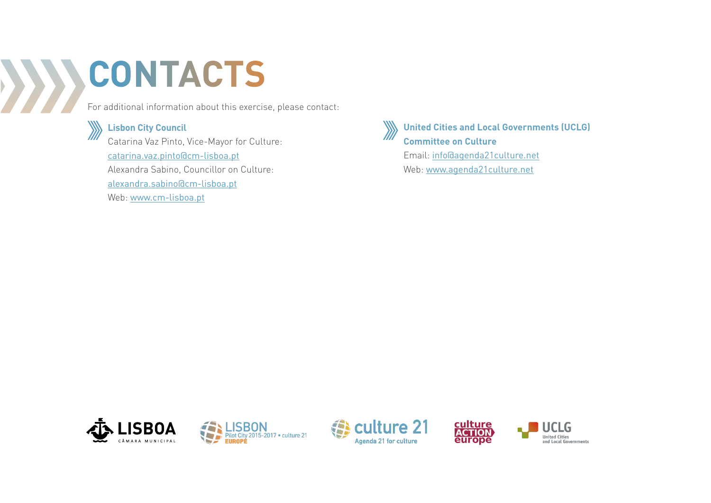### **CONTACTS**  $\rightarrow$

For additional information about this exercise, please contact:



**Lisbon City Council**

Catarina Vaz Pinto, Vice-Mayor for Culture: catarina.vaz.pinto@cm-lisboa.pt Alexandra Sabino, Councillor on Culture: alexandra.sabino@cm-lisboa.pt Web: www.cm-lisboa.pt



**United Cities and Local Governments (UCLG) Committee on Culture**

Email: info@agenda21culture.net Web: www.agenda21culture.net